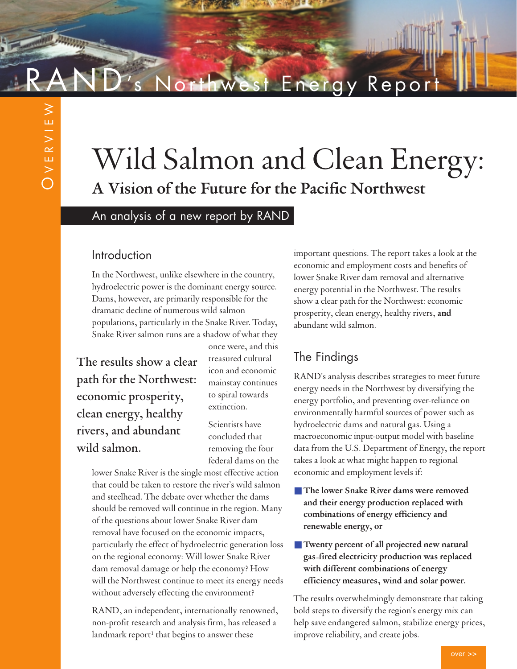# Energy Report

# Wild Salmon and Clean Energy: **A Vision of the Future for the Pacific Northwest**

An analysis of a new report by RAND

#### Introduction

In the Northwest, unlike elsewhere in the country, hydroelectric power is the dominant energy source. Dams, however, are primarily responsible for the dramatic decline of numerous wild salmon populations, particularly in the Snake River. Today, Snake River salmon runs are a shadow of what they

The results show a clear path for the Northwest: economic prosperity, clean energy, healthy rivers, and abundant wild salmon.

once were, and this treasured cultural icon and economic mainstay continues to spiral towards extinction.

Scientists have concluded that removing the four federal dams on the

lower Snake River is the single most effective action that could be taken to restore the river's wild salmon and steelhead. The debate over whether the dams should be removed will continue in the region. Many of the questions about lower Snake River dam removal have focused on the economic impacts, particularly the effect of hydroelectric generation loss on the regional economy: Will lower Snake River dam removal damage or help the economy? How will the Northwest continue to meet its energy needs without adversely effecting the environment?

RAND, an independent, internationally renowned, non-profit research and analysis firm, has released a landmark report<sup>1</sup> that begins to answer these

important questions. The report takes a look at the economic and employment costs and benefits of lower Snake River dam removal and alternative energy potential in the Northwest. The results show a clear path for the Northwest: economic prosperity, clean energy, healthy rivers, **and** abundant wild salmon.

## The Findings

RAND's analysis describes strategies to meet future energy needs in the Northwest by diversifying the energy portfolio, and preventing over-reliance on environmentally harmful sources of power such as hydroelectric dams and natural gas. Using a macroeconomic input-output model with baseline data from the U.S. Department of Energy, the report takes a look at what might happen to regional economic and employment levels if:

- The lower Snake River dams were removed **and their energy production replaced with combinations of energy efficiency and renewable energy, or**
- **Twenty percent of all projected new natural gas-fired electricity production was replaced with different combinations of energy efficiency measures, wind and solar power.**

The results overwhelmingly demonstrate that taking bold steps to diversify the region's energy mix can help save endangered salmon, stabilize energy prices, improve reliability, and create jobs.